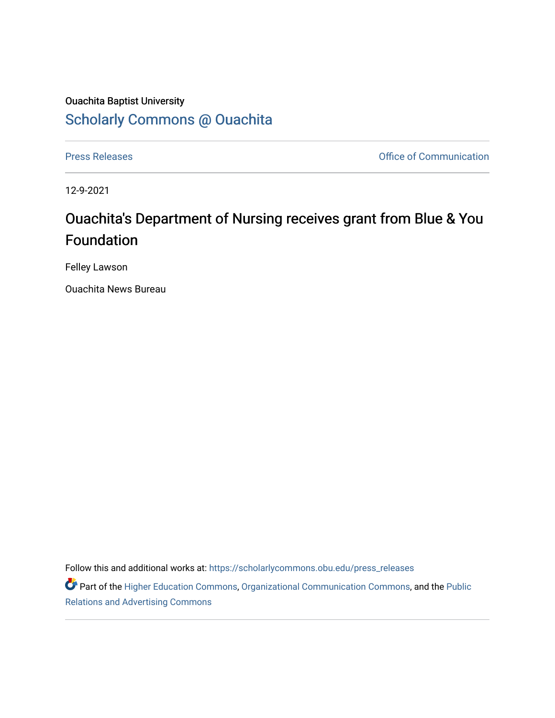## Ouachita Baptist University [Scholarly Commons @ Ouachita](https://scholarlycommons.obu.edu/)

[Press Releases](https://scholarlycommons.obu.edu/press_releases) **Press Releases Communication** 

12-9-2021

## Ouachita's Department of Nursing receives grant from Blue & You Foundation

Felley Lawson

Ouachita News Bureau

Follow this and additional works at: [https://scholarlycommons.obu.edu/press\\_releases](https://scholarlycommons.obu.edu/press_releases?utm_source=scholarlycommons.obu.edu%2Fpress_releases%2F1047&utm_medium=PDF&utm_campaign=PDFCoverPages)

Part of the [Higher Education Commons,](http://network.bepress.com/hgg/discipline/1245?utm_source=scholarlycommons.obu.edu%2Fpress_releases%2F1047&utm_medium=PDF&utm_campaign=PDFCoverPages) [Organizational Communication Commons,](http://network.bepress.com/hgg/discipline/335?utm_source=scholarlycommons.obu.edu%2Fpress_releases%2F1047&utm_medium=PDF&utm_campaign=PDFCoverPages) and the [Public](http://network.bepress.com/hgg/discipline/336?utm_source=scholarlycommons.obu.edu%2Fpress_releases%2F1047&utm_medium=PDF&utm_campaign=PDFCoverPages) [Relations and Advertising Commons](http://network.bepress.com/hgg/discipline/336?utm_source=scholarlycommons.obu.edu%2Fpress_releases%2F1047&utm_medium=PDF&utm_campaign=PDFCoverPages)